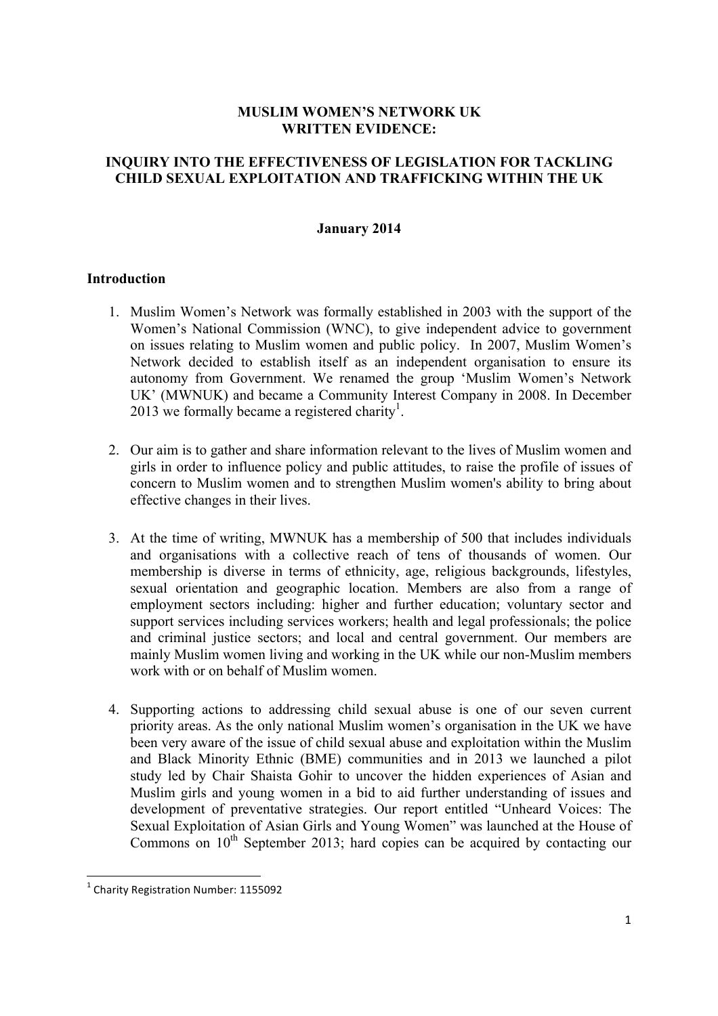### **MUSLIM WOMEN'S NETWORK UK WRITTEN EVIDENCE:**

# **INQUIRY INTO THE EFFECTIVENESS OF LEGISLATION FOR TACKLING CHILD SEXUAL EXPLOITATION AND TRAFFICKING WITHIN THE UK**

#### **January 2014**

#### **Introduction**

- 1. Muslim Women's Network was formally established in 2003 with the support of the Women's National Commission (WNC), to give independent advice to government on issues relating to Muslim women and public policy. In 2007, Muslim Women's Network decided to establish itself as an independent organisation to ensure its autonomy from Government. We renamed the group 'Muslim Women's Network UK' (MWNUK) and became a Community Interest Company in 2008. In December 2013 we formally became a registered charity<sup>1</sup>.
- 2. Our aim is to gather and share information relevant to the lives of Muslim women and girls in order to influence policy and public attitudes, to raise the profile of issues of concern to Muslim women and to strengthen Muslim women's ability to bring about effective changes in their lives.
- 3. At the time of writing, MWNUK has a membership of 500 that includes individuals and organisations with a collective reach of tens of thousands of women. Our membership is diverse in terms of ethnicity, age, religious backgrounds, lifestyles, sexual orientation and geographic location. Members are also from a range of employment sectors including: higher and further education; voluntary sector and support services including services workers; health and legal professionals; the police and criminal justice sectors; and local and central government. Our members are mainly Muslim women living and working in the UK while our non-Muslim members work with or on behalf of Muslim women.
- 4. Supporting actions to addressing child sexual abuse is one of our seven current priority areas. As the only national Muslim women's organisation in the UK we have been very aware of the issue of child sexual abuse and exploitation within the Muslim and Black Minority Ethnic (BME) communities and in 2013 we launched a pilot study led by Chair Shaista Gohir to uncover the hidden experiences of Asian and Muslim girls and young women in a bid to aid further understanding of issues and development of preventative strategies. Our report entitled "Unheard Voices: The Sexual Exploitation of Asian Girls and Young Women" was launched at the House of Commons on  $10<sup>th</sup>$  September 2013; hard copies can be acquired by contacting our

""""""""""""""""""""""""""""""""""""""""""""""""""""""""""""

 $1$  Charity Registration Number: 1155092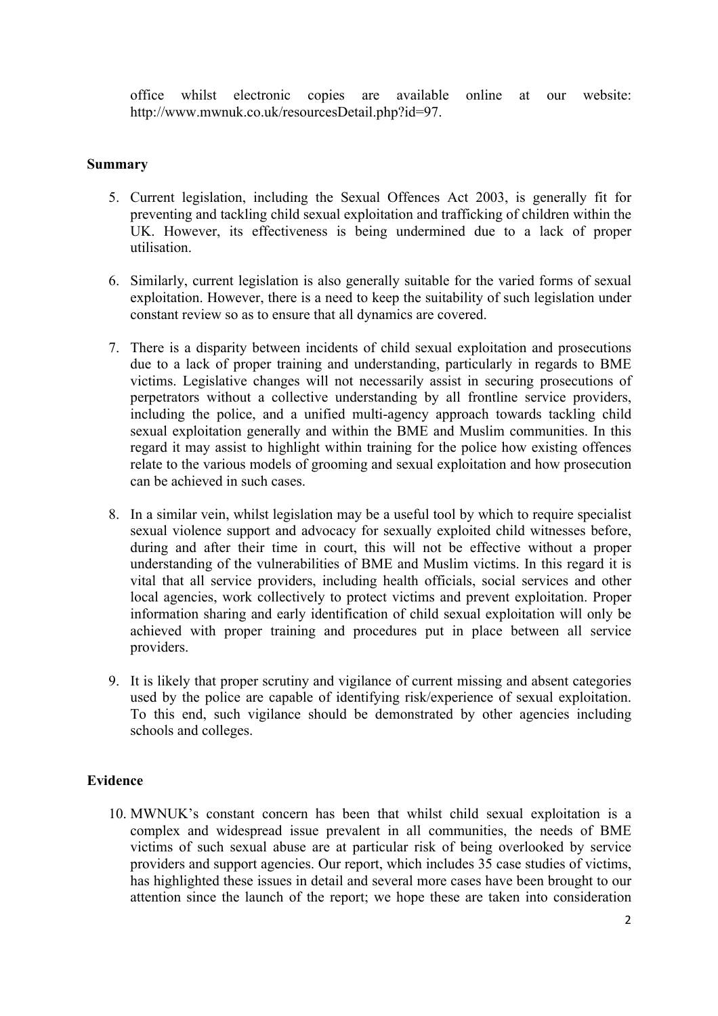office whilst electronic copies are available online at our website: http://www.mwnuk.co.uk/resourcesDetail.php?id=97.

### **Summary**

- 5. Current legislation, including the Sexual Offences Act 2003, is generally fit for preventing and tackling child sexual exploitation and trafficking of children within the UK. However, its effectiveness is being undermined due to a lack of proper utilisation.
- 6. Similarly, current legislation is also generally suitable for the varied forms of sexual exploitation. However, there is a need to keep the suitability of such legislation under constant review so as to ensure that all dynamics are covered.
- 7. There is a disparity between incidents of child sexual exploitation and prosecutions due to a lack of proper training and understanding, particularly in regards to BME victims. Legislative changes will not necessarily assist in securing prosecutions of perpetrators without a collective understanding by all frontline service providers, including the police, and a unified multi-agency approach towards tackling child sexual exploitation generally and within the BME and Muslim communities. In this regard it may assist to highlight within training for the police how existing offences relate to the various models of grooming and sexual exploitation and how prosecution can be achieved in such cases.
- 8. In a similar vein, whilst legislation may be a useful tool by which to require specialist sexual violence support and advocacy for sexually exploited child witnesses before, during and after their time in court, this will not be effective without a proper understanding of the vulnerabilities of BME and Muslim victims. In this regard it is vital that all service providers, including health officials, social services and other local agencies, work collectively to protect victims and prevent exploitation. Proper information sharing and early identification of child sexual exploitation will only be achieved with proper training and procedures put in place between all service providers.
- 9. It is likely that proper scrutiny and vigilance of current missing and absent categories used by the police are capable of identifying risk/experience of sexual exploitation. To this end, such vigilance should be demonstrated by other agencies including schools and colleges.

# **Evidence**

10. MWNUK's constant concern has been that whilst child sexual exploitation is a complex and widespread issue prevalent in all communities, the needs of BME victims of such sexual abuse are at particular risk of being overlooked by service providers and support agencies. Our report, which includes 35 case studies of victims, has highlighted these issues in detail and several more cases have been brought to our attention since the launch of the report; we hope these are taken into consideration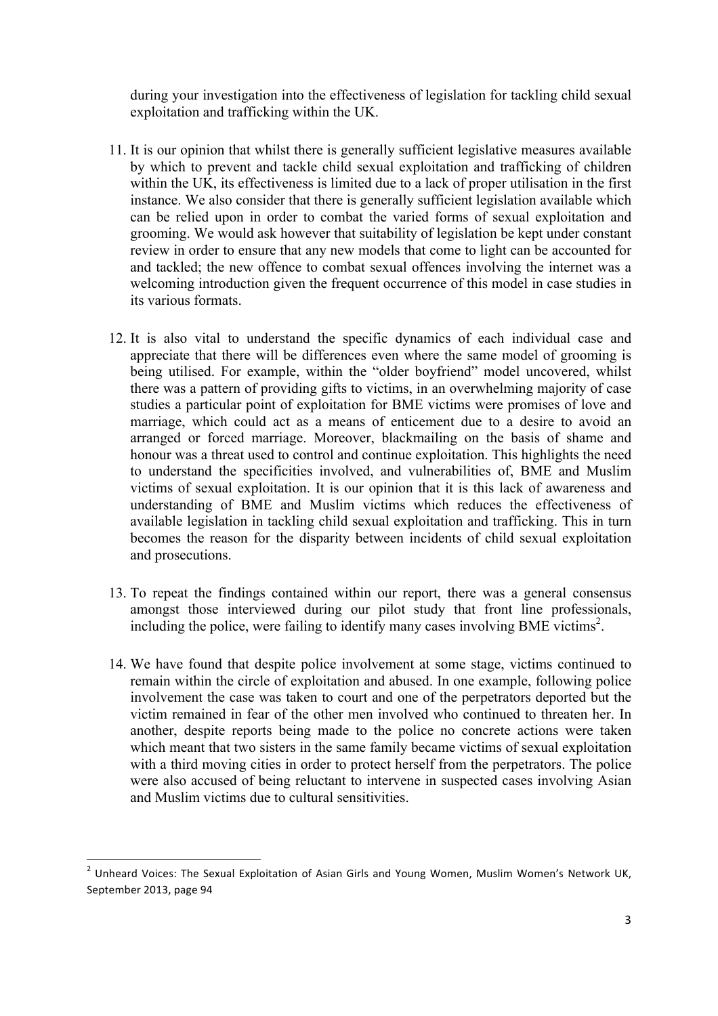during your investigation into the effectiveness of legislation for tackling child sexual exploitation and trafficking within the UK.

- 11. It is our opinion that whilst there is generally sufficient legislative measures available by which to prevent and tackle child sexual exploitation and trafficking of children within the UK, its effectiveness is limited due to a lack of proper utilisation in the first instance. We also consider that there is generally sufficient legislation available which can be relied upon in order to combat the varied forms of sexual exploitation and grooming. We would ask however that suitability of legislation be kept under constant review in order to ensure that any new models that come to light can be accounted for and tackled; the new offence to combat sexual offences involving the internet was a welcoming introduction given the frequent occurrence of this model in case studies in its various formats.
- 12. It is also vital to understand the specific dynamics of each individual case and appreciate that there will be differences even where the same model of grooming is being utilised. For example, within the "older boyfriend" model uncovered, whilst there was a pattern of providing gifts to victims, in an overwhelming majority of case studies a particular point of exploitation for BME victims were promises of love and marriage, which could act as a means of enticement due to a desire to avoid an arranged or forced marriage. Moreover, blackmailing on the basis of shame and honour was a threat used to control and continue exploitation. This highlights the need to understand the specificities involved, and vulnerabilities of, BME and Muslim victims of sexual exploitation. It is our opinion that it is this lack of awareness and understanding of BME and Muslim victims which reduces the effectiveness of available legislation in tackling child sexual exploitation and trafficking. This in turn becomes the reason for the disparity between incidents of child sexual exploitation and prosecutions.
- 13. To repeat the findings contained within our report, there was a general consensus amongst those interviewed during our pilot study that front line professionals, including the police, were failing to identify many cases involving BME victims<sup>2</sup>.
- 14. We have found that despite police involvement at some stage, victims continued to remain within the circle of exploitation and abused. In one example, following police involvement the case was taken to court and one of the perpetrators deported but the victim remained in fear of the other men involved who continued to threaten her. In another, despite reports being made to the police no concrete actions were taken which meant that two sisters in the same family became victims of sexual exploitation with a third moving cities in order to protect herself from the perpetrators. The police were also accused of being reluctant to intervene in suspected cases involving Asian and Muslim victims due to cultural sensitivities.

""""""""""""""""""""""""""""""""""""""""""""""""""""""""""""

 $2$  Unheard Voices: The Sexual Exploitation of Asian Girls and Young Women, Muslim Women's Network UK, September 2013, page 94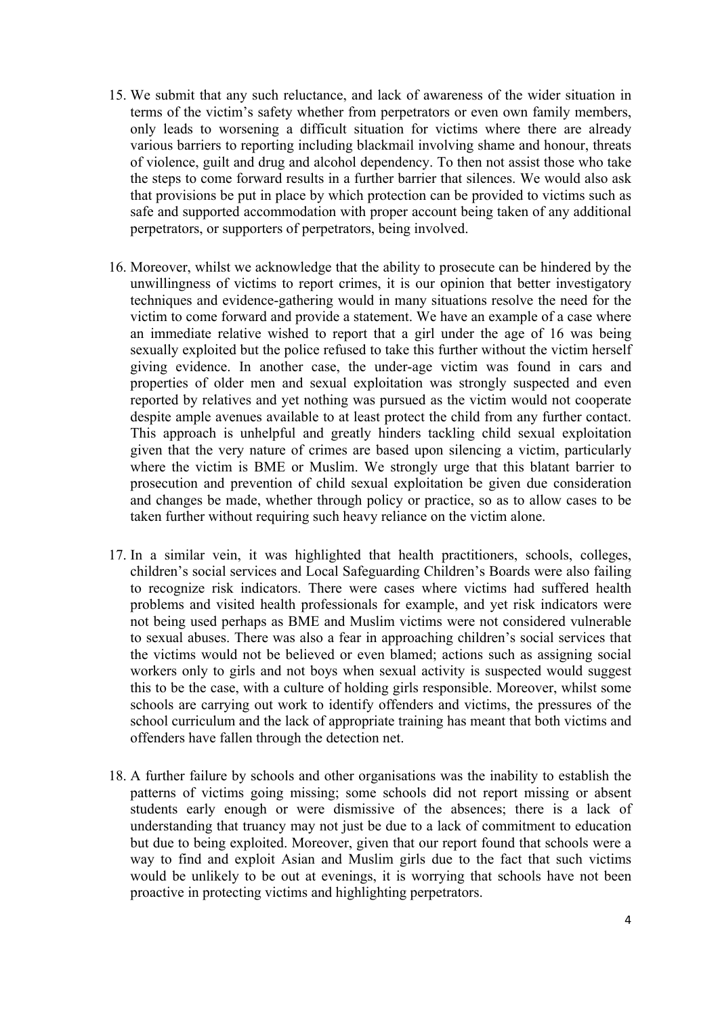- 15. We submit that any such reluctance, and lack of awareness of the wider situation in terms of the victim's safety whether from perpetrators or even own family members, only leads to worsening a difficult situation for victims where there are already various barriers to reporting including blackmail involving shame and honour, threats of violence, guilt and drug and alcohol dependency. To then not assist those who take the steps to come forward results in a further barrier that silences. We would also ask that provisions be put in place by which protection can be provided to victims such as safe and supported accommodation with proper account being taken of any additional perpetrators, or supporters of perpetrators, being involved.
- 16. Moreover, whilst we acknowledge that the ability to prosecute can be hindered by the unwillingness of victims to report crimes, it is our opinion that better investigatory techniques and evidence-gathering would in many situations resolve the need for the victim to come forward and provide a statement. We have an example of a case where an immediate relative wished to report that a girl under the age of 16 was being sexually exploited but the police refused to take this further without the victim herself giving evidence. In another case, the under-age victim was found in cars and properties of older men and sexual exploitation was strongly suspected and even reported by relatives and yet nothing was pursued as the victim would not cooperate despite ample avenues available to at least protect the child from any further contact. This approach is unhelpful and greatly hinders tackling child sexual exploitation given that the very nature of crimes are based upon silencing a victim, particularly where the victim is BME or Muslim. We strongly urge that this blatant barrier to prosecution and prevention of child sexual exploitation be given due consideration and changes be made, whether through policy or practice, so as to allow cases to be taken further without requiring such heavy reliance on the victim alone.
- 17. In a similar vein, it was highlighted that health practitioners, schools, colleges, children's social services and Local Safeguarding Children's Boards were also failing to recognize risk indicators. There were cases where victims had suffered health problems and visited health professionals for example, and yet risk indicators were not being used perhaps as BME and Muslim victims were not considered vulnerable to sexual abuses. There was also a fear in approaching children's social services that the victims would not be believed or even blamed; actions such as assigning social workers only to girls and not boys when sexual activity is suspected would suggest this to be the case, with a culture of holding girls responsible. Moreover, whilst some schools are carrying out work to identify offenders and victims, the pressures of the school curriculum and the lack of appropriate training has meant that both victims and offenders have fallen through the detection net.
- 18. A further failure by schools and other organisations was the inability to establish the patterns of victims going missing; some schools did not report missing or absent students early enough or were dismissive of the absences; there is a lack of understanding that truancy may not just be due to a lack of commitment to education but due to being exploited. Moreover, given that our report found that schools were a way to find and exploit Asian and Muslim girls due to the fact that such victims would be unlikely to be out at evenings, it is worrying that schools have not been proactive in protecting victims and highlighting perpetrators.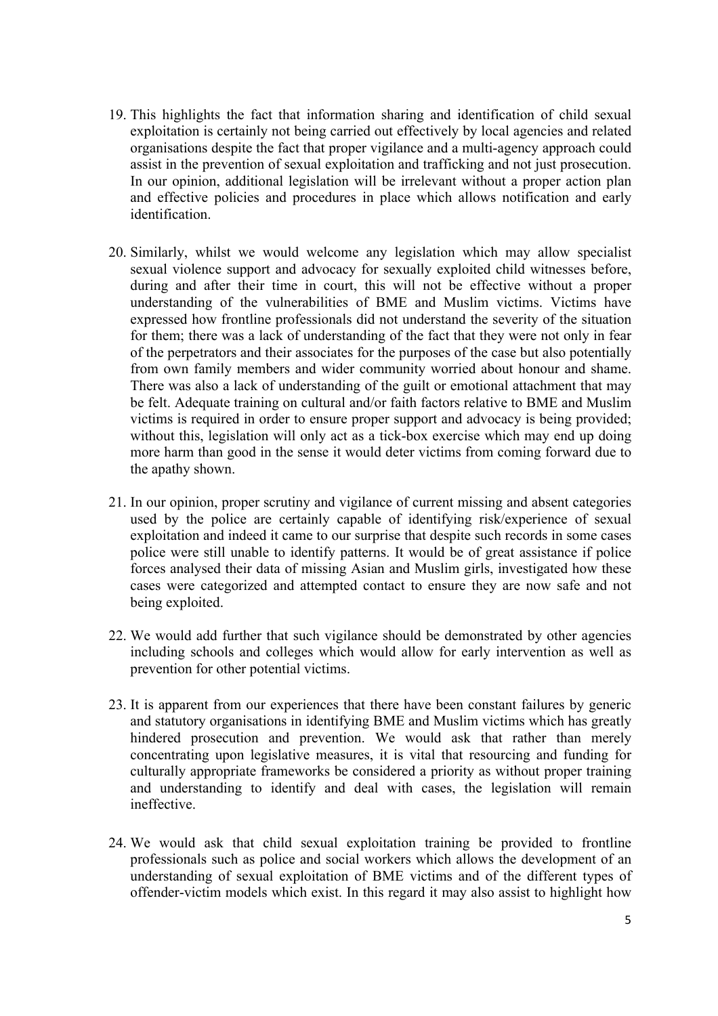- 19. This highlights the fact that information sharing and identification of child sexual exploitation is certainly not being carried out effectively by local agencies and related organisations despite the fact that proper vigilance and a multi-agency approach could assist in the prevention of sexual exploitation and trafficking and not just prosecution. In our opinion, additional legislation will be irrelevant without a proper action plan and effective policies and procedures in place which allows notification and early identification.
- 20. Similarly, whilst we would welcome any legislation which may allow specialist sexual violence support and advocacy for sexually exploited child witnesses before, during and after their time in court, this will not be effective without a proper understanding of the vulnerabilities of BME and Muslim victims. Victims have expressed how frontline professionals did not understand the severity of the situation for them; there was a lack of understanding of the fact that they were not only in fear of the perpetrators and their associates for the purposes of the case but also potentially from own family members and wider community worried about honour and shame. There was also a lack of understanding of the guilt or emotional attachment that may be felt. Adequate training on cultural and/or faith factors relative to BME and Muslim victims is required in order to ensure proper support and advocacy is being provided; without this, legislation will only act as a tick-box exercise which may end up doing more harm than good in the sense it would deter victims from coming forward due to the apathy shown.
- 21. In our opinion, proper scrutiny and vigilance of current missing and absent categories used by the police are certainly capable of identifying risk/experience of sexual exploitation and indeed it came to our surprise that despite such records in some cases police were still unable to identify patterns. It would be of great assistance if police forces analysed their data of missing Asian and Muslim girls, investigated how these cases were categorized and attempted contact to ensure they are now safe and not being exploited.
- 22. We would add further that such vigilance should be demonstrated by other agencies including schools and colleges which would allow for early intervention as well as prevention for other potential victims.
- 23. It is apparent from our experiences that there have been constant failures by generic and statutory organisations in identifying BME and Muslim victims which has greatly hindered prosecution and prevention. We would ask that rather than merely concentrating upon legislative measures, it is vital that resourcing and funding for culturally appropriate frameworks be considered a priority as without proper training and understanding to identify and deal with cases, the legislation will remain ineffective.
- 24. We would ask that child sexual exploitation training be provided to frontline professionals such as police and social workers which allows the development of an understanding of sexual exploitation of BME victims and of the different types of offender-victim models which exist. In this regard it may also assist to highlight how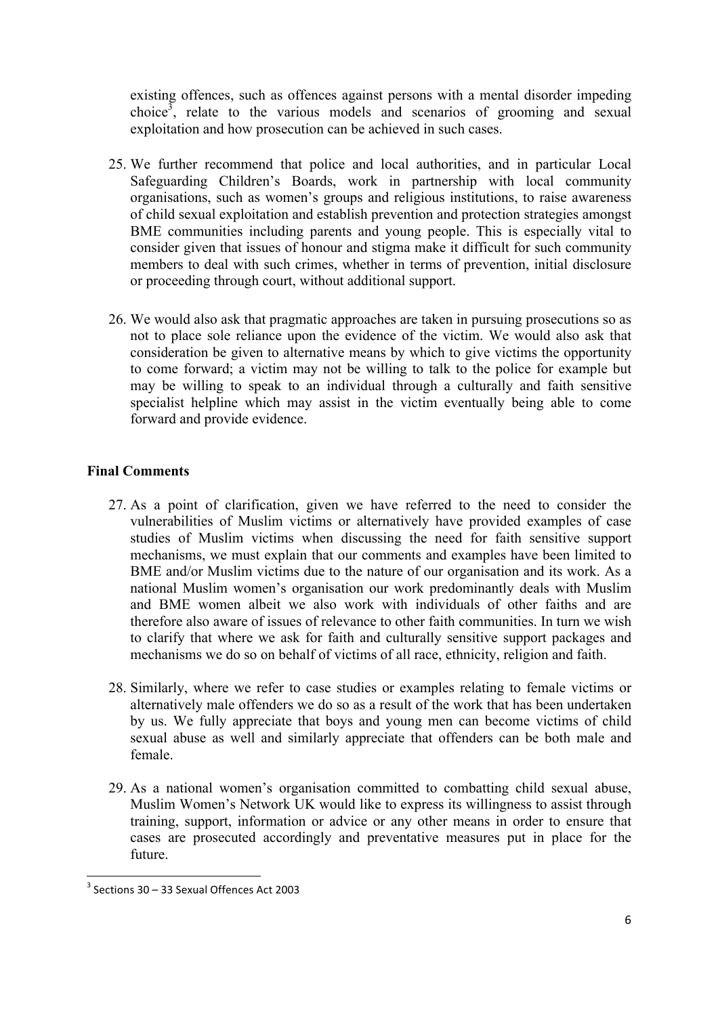existing offences, such as offences against persons with a mental disorder impeding choice<sup>3</sup>, relate to the various models and scenarios of grooming and sexual exploitation and how prosecution can be achieved in such cases.

- 25. We further recommend that police and local authorities, and in particular Local Safeguarding Children's Boards, work in partnership with local community organisations, such as women's groups and religious institutions, to raise awareness of child sexual exploitation and establish prevention and protection strategies amongst BME communities including parents and young people. This is especially vital to consider given that issues of honour and stigma make it difficult for such community members to deal with such crimes, whether in terms of prevention, initial disclosure or proceeding through court, without additional support.
- 26. We would also ask that pragmatic approaches are taken in pursuing prosecutions so as not to place sole reliance upon the evidence of the victim. We would also ask that consideration be given to alternative means by which to give victims the opportunity to come forward; a victim may not be willing to talk to the police for example but may be willing to speak to an individual through a culturally and faith sensitive specialist helpline which may assist in the victim eventually being able to come forward and provide evidence.

# **Final Comments**

- 27. As a point of clarification, given we have referred to the need to consider the vulnerabilities of Muslim victims or alternatively have provided examples of case studies of Muslim victims when discussing the need for faith sensitive support mechanisms, we must explain that our comments and examples have been limited to BME and/or Muslim victims due to the nature of our organisation and its work. As a national Muslim women's organisation our work predominantly deals with Muslim and BME women albeit we also work with individuals of other faiths and are therefore also aware of issues of relevance to other faith communities. In turn we wish to clarify that where we ask for faith and culturally sensitive support packages and mechanisms we do so on behalf of victims of all race, ethnicity, religion and faith.
- 28. Similarly, where we refer to case studies or examples relating to female victims or alternatively male offenders we do so as a result of the work that has been undertaken by us. We fully appreciate that boys and young men can become victims of child sexual abuse as well and similarly appreciate that offenders can be both male and female.
- 29. As a national women's organisation committed to combatting child sexual abuse, Muslim Women's Network UK would like to express its willingness to assist through training, support, information or advice or any other means in order to ensure that cases are prosecuted accordingly and preventative measures put in place for the future.

""""""""""""""""""""""""""""""""""""""""""""""""""""""""""""

 $3$  Sections 30 – 33 Sexual Offences Act 2003